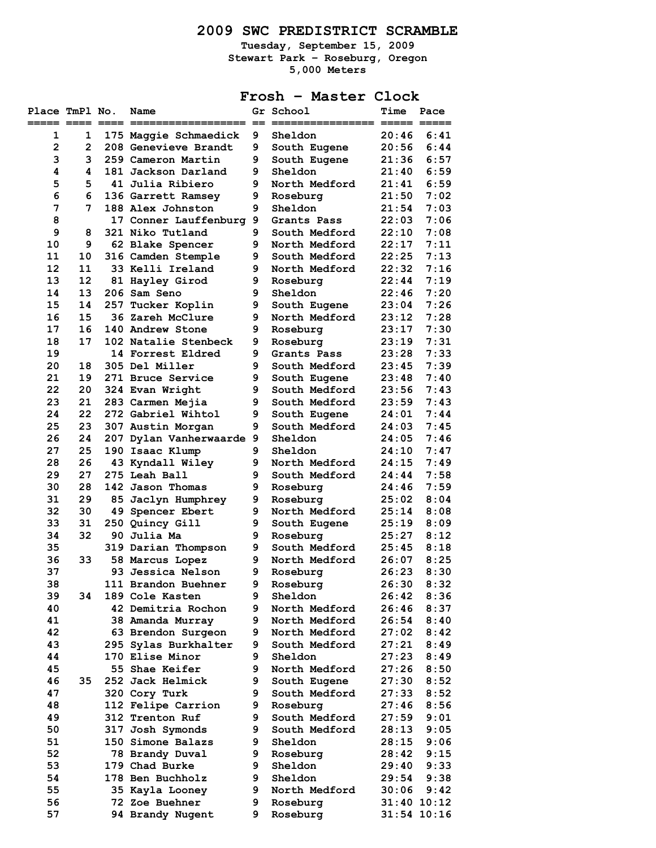# **2009 SWC PREDISTRICT SCRAMBLE**

**Tuesday, September 15, 2009 Stewart Park – Roseburg, Oregon 5,000 Meters** 

# **Frosh – Master Clock**

| Place TmPl No.<br>===== ==== ==== |              | Name                                   |        | Gr School                      | <b>Time</b><br>===== =: | Pace            |
|-----------------------------------|--------------|----------------------------------------|--------|--------------------------------|-------------------------|-----------------|
| 1                                 | 1            | 175 Maggie Schmaedick                  | 9      | Sheldon                        | 20:46                   | 6:41            |
| $\overline{2}$                    | $\mathbf{2}$ | 208 Genevieve Brandt                   | 9      | South Eugene                   | 20:56                   | 6:44            |
| 3                                 | 3            | 259 Cameron Martin                     | 9      | South Eugene                   | 21:36                   | 6:57            |
| 4                                 | 4            | 181 Jackson Darland                    | 9      | Sheldon                        | 21:40                   | 6:59            |
| 5                                 | 5            | 41 Julia Ribiero                       | 9      | North Medford                  | 21:41                   | 6:59            |
| 6                                 | 6            | 136 Garrett Ramsey                     | 9      | Roseburg                       | 21:50                   | 7:02            |
| 7                                 | 7            | 188 Alex Johnston                      | 9      | Sheldon                        | 21:54                   | 7:03            |
| 8                                 |              | 17 Conner Lauffenburg 9                |        | Grants Pass                    | 22:03                   | 7:06            |
| 9                                 | 8            | 321 Niko Tutland                       | 9      | South Medford                  | 22:10                   | 7:08            |
| 10                                | 9            | 62 Blake Spencer                       | 9      | North Medford                  | 22:17                   | 7:11            |
| 11                                | 10           | 316 Camden Stemple                     | 9      | South Medford                  | 22:25                   | 7:13            |
| 12                                | 11           | 33 Kelli Ireland                       | 9      | North Medford                  | 22:32                   | 7:16            |
| 13                                | 12           | 81 Hayley Girod                        | 9      | Roseburg                       | 22:44                   | 7:19            |
| 14<br>15                          | 13<br>14     | 206 Sam Seno<br>257 Tucker Koplin      | 9<br>9 | Sheldon                        | 22:46<br>23:04          | 7:20<br>7:26    |
| 16                                | 15           | 36 Zareh McClure                       | 9      | South Eugene                   | 23:12                   | 7:28            |
| 17                                | 16           | 140 Andrew Stone                       | 9      | North Medford<br>Roseburg      | 23:17                   | 7:30            |
| 18                                | 17           | 102 Natalie Stenbeck                   | 9      | Roseburg                       | 23:19                   | 7:31            |
| 19                                |              | 14 Forrest Eldred                      | 9      | Grants Pass                    | 23:28                   | 7:33            |
| 20                                | 18           | 305 Del Miller                         | 9      | South Medford                  | 23:45                   | 7:39            |
| 21                                | 19           | 271 Bruce Service                      | 9      | South Eugene                   | 23:48                   | 7:40            |
| 22                                | 20           | 324 Evan Wright                        | 9      | South Medford                  | 23:56                   | 7:43            |
| 23                                | 21           | 283 Carmen Mejia                       | 9      | South Medford                  | 23:59                   | 7:43            |
| 24                                | 22           | 272 Gabriel Wihtol                     | 9      | South Eugene                   | 24:01                   | 7:44            |
| 25                                | 23           | 307 Austin Morgan                      | 9      | South Medford                  | 24:03                   | 7:45            |
| 26                                | 24           | 207 Dylan Vanherwaarde 9               |        | Sheldon                        | 24:05                   | 7:46            |
| 27                                | 25           | 190 Isaac Klump                        | 9      | Sheldon                        | 24:10                   | 7:47            |
| 28                                | 26           | 43 Kyndall Wiley                       | 9      | North Medford                  | 24:15                   | 7:49            |
| 29                                | 27           | 275 Leah Ball                          | 9      | South Medford                  | 24:44                   | 7:58            |
| 30                                | 28           | 142 Jason Thomas                       | 9      | Roseburg                       | 24:46                   | 7:59            |
| 31                                | 29           | 85 Jaclyn Humphrey                     | 9      | Roseburg                       | 25:02                   | 8:04            |
| 32                                | 30           | 49 Spencer Ebert                       | 9      | North Medford                  | 25:14                   | 8:08            |
| 33                                | 31           | 250 Quincy Gill                        | 9      | South Eugene                   | 25:19                   | 8:09            |
| 34                                | 32           | 90 Julia Ma                            | 9      | Roseburg                       | 25:27                   | 8:12            |
| 35                                |              | 319 Darian Thompson                    | 9      | South Medford                  | 25:45                   | 8:18            |
| 36                                | 33           | 58 Marcus Lopez                        | 9      | North Medford                  | 26:07                   | 8:25            |
| 37                                |              | 93 Jessica Nelson                      | 9      | Roseburg                       | 26:23                   | 8:30            |
| 38                                |              | 111 Brandon Buehner                    | 9      | Roseburg                       | 26:30                   | 8:32            |
| 39                                | 34           | 189 Cole Kasten                        | 9      | Sheldon                        | 26:42                   | 8:36            |
| 40                                |              | 42 Demitria Rochon                     | 9<br>9 | North Medford<br>North Medford | 26:46                   | 8:37            |
| 41<br>42                          |              | 38 Amanda Murray<br>63 Brendon Surgeon | 9.     | North Medford                  | 26:54<br>27:02          | 8:40<br>8:42    |
| 43                                |              | 295 Sylas Burkhalter                   | 9      | South Medford                  | 27:21                   | 8:49            |
| 44                                |              | 170 Elise Minor                        | 9      | Sheldon                        | 27:23                   | 8:49            |
| 45                                |              | 55 Shae Keifer                         | 9      | North Medford                  | 27:26                   | 8:50            |
| 46                                | 35           | 252 Jack Helmick                       | 9      | South Eugene                   | 27:30                   | 8:52            |
| 47                                |              | 320 Cory Turk                          | 9      | South Medford                  | 27:33                   | 8:52            |
| 48                                |              | 112 Felipe Carrion                     | 9      | Roseburg                       | 27:46                   | 8:56            |
| 49                                |              | 312 Trenton Ruf                        | 9      | South Medford                  | 27:59                   | 9:01            |
| 50                                |              | 317 Josh Symonds                       | 9      | South Medford                  | 28:13                   | 9:05            |
| 51                                |              | 150 Simone Balazs                      | 9      | Sheldon                        | 28:15                   | 9:06            |
| 52                                |              | 78 Brandy Duval                        | 9      | Roseburg                       | 28:42                   | 9:15            |
| 53                                |              | 179 Chad Burke                         | 9      | Sheldon                        | 29:40                   | 9:33            |
| 54                                |              | 178 Ben Buchholz                       | 9      | Sheldon                        | 29:54                   | 9:38            |
| 55                                |              | 35 Kayla Looney                        | 9      | North Medford                  | 30:06                   | 9:42            |
| 56                                |              | 72 Zoe Buehner                         | 9      | Roseburg                       |                         | 31:40 10:12     |
| 57                                |              | 94 Brandy Nugent                       | 9      | Roseburg                       |                         | $31:54$ $10:16$ |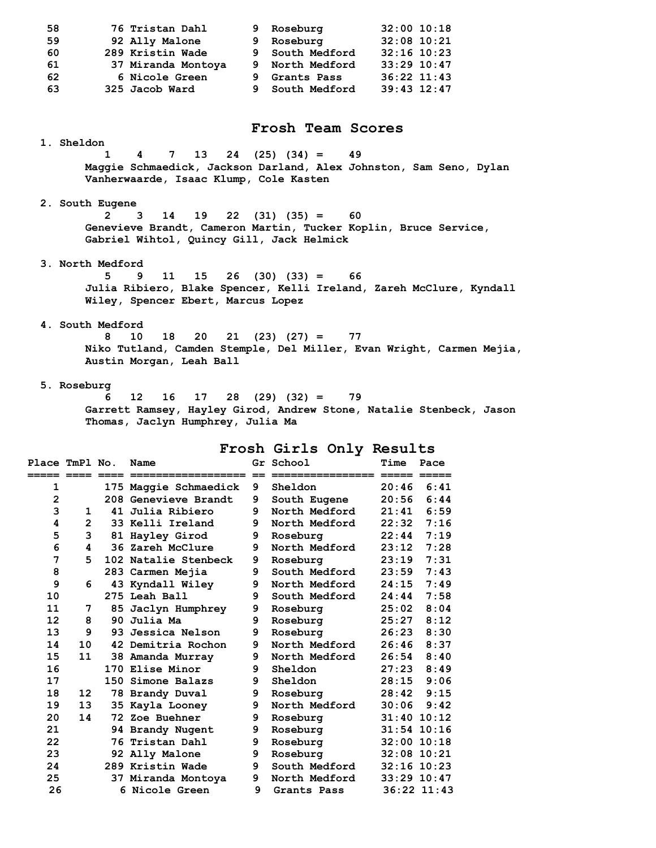| 59             |                   |                  | 92 Ally Malone                                                       | 9  | Roseburg                    |               | $32:08$ 10:21   |
|----------------|-------------------|------------------|----------------------------------------------------------------------|----|-----------------------------|---------------|-----------------|
| 60             |                   |                  | 289 Kristin Wade                                                     | 9  | South Medford               |               | $32:16$ 10:23   |
| 61             |                   |                  | 37 Miranda Montoya                                                   | 9  | North Medford 33:29 10:47   |               |                 |
| 62             |                   |                  | 6 Nicole Green                                                       | 9. | Grants Pass                 | 36:22 11:43   |                 |
| 63             |                   |                  | 325 Jacob Ward                                                       |    | 9 South Medford 39:43 12:47 |               |                 |
|                |                   |                  |                                                                      |    |                             |               |                 |
|                |                   |                  |                                                                      |    |                             |               |                 |
|                |                   |                  |                                                                      |    | Frosh Team Scores           |               |                 |
|                | <b>1. Sheldon</b> |                  |                                                                      |    |                             |               |                 |
|                |                   | 1                | 7<br>13<br>24<br>4                                                   |    | $(25)$ $(34) =$<br>49       |               |                 |
|                |                   |                  | Maggie Schmaedick, Jackson Darland, Alex Johnston, Sam Seno, Dylan   |    |                             |               |                 |
|                |                   |                  | Vanherwaarde, Isaac Klump, Cole Kasten                               |    |                             |               |                 |
|                |                   |                  |                                                                      |    |                             |               |                 |
|                |                   | 2. South Eugene  |                                                                      |    |                             |               |                 |
|                |                   | $\mathbf{2}$     | 14<br>19<br>3                                                        |    | $22$ (31) (35) =<br>60      |               |                 |
|                |                   |                  | Genevieve Brandt, Cameron Martin, Tucker Koplin, Bruce Service,      |    |                             |               |                 |
|                |                   |                  | Gabriel Wihtol, Quincy Gill, Jack Helmick                            |    |                             |               |                 |
|                |                   |                  |                                                                      |    |                             |               |                 |
|                |                   | 3. North Medford |                                                                      |    |                             |               |                 |
|                |                   | 5                | 9<br>11<br>15                                                        |    | $26$ (30) (33) =<br>66      |               |                 |
|                |                   |                  | Julia Ribiero, Blake Spencer, Kelli Ireland, Zareh McClure, Kyndall  |    |                             |               |                 |
|                |                   |                  | Wiley, Spencer Ebert, Marcus Lopez                                   |    |                             |               |                 |
|                |                   |                  |                                                                      |    |                             |               |                 |
|                |                   | 4. South Medford |                                                                      |    |                             |               |                 |
|                |                   | 8                | 18<br>10<br>20<br>21                                                 |    | $(23)$ $(27) =$<br>77       |               |                 |
|                |                   |                  | Niko Tutland, Camden Stemple, Del Miller, Evan Wright, Carmen Mejia, |    |                             |               |                 |
|                |                   |                  | Austin Morgan, Leah Ball                                             |    |                             |               |                 |
|                |                   |                  |                                                                      |    |                             |               |                 |
|                | 5. Roseburg       |                  |                                                                      |    |                             |               |                 |
|                |                   | 6                | 12<br>16<br>17<br>28                                                 |    | $(29)$ $(32) =$<br>79       |               |                 |
|                |                   |                  |                                                                      |    |                             |               |                 |
|                |                   |                  | Garrett Ramsey, Hayley Girod, Andrew Stone, Natalie Stenbeck, Jason  |    |                             |               |                 |
|                |                   |                  | Thomas, Jaclyn Humphrey, Julia Ma                                    |    |                             |               |                 |
|                |                   |                  |                                                                      |    |                             |               |                 |
|                |                   |                  |                                                                      |    | Frosh Girls Only Results    |               |                 |
| Place TmPl No. |                   |                  | Name                                                                 |    | Gr School                   | Time Pace     |                 |
|                |                   |                  |                                                                      |    |                             | = ===== ===== |                 |
| 1              |                   |                  | 175 Maggie Schmaedick                                                |    | <b>9</b> Sheldon            |               | $20:46$ $6:41$  |
| $\mathbf{2}$   |                   |                  | 208 Genevieve Brandt                                                 | 9  | South Eugene                | 20:56         | 6:44            |
| 3              | 1                 |                  | 41 Julia Ribiero                                                     | 9  | North Medford               | 21:41         | 6:59            |
| 4              | $\mathbf{2}$      |                  | 33 Kelli Ireland                                                     | 9  | North Medford               | 22:32         | 7:16            |
| 5              | 3                 |                  | 81 Hayley Girod                                                      | 9  | Roseburg                    | 22:44         | 7:19            |
| 6              | 4                 |                  | 36 Zareh McClure                                                     | 9  | North Medford               | 23:12         | 7:28            |
| 7              | 5.                |                  | 102 Natalie Stenbeck                                                 | 9  | Roseburg                    | 23:19         | 7:31            |
| 8              |                   |                  | 283 Carmen Mejia                                                     | 9  | South Medford               | 23:59         | 7:43            |
| 9              | 6                 |                  | 43 Kyndall Wiley                                                     | 9  | North Medford               | 24:15         | 7:49            |
| 10             |                   |                  | 275 Leah Ball                                                        | 9  | South Medford               | 24:44         | 7:58            |
| 11             | 7                 |                  | 85 Jaclyn Humphrey                                                   | 9  | Roseburg                    | 25:02         | 8:04            |
| 12             | 8                 |                  | 90 Julia Ma                                                          | 9  | Roseburg                    | 25:27         | 8:12            |
| 13             | 9                 |                  | 93 Jessica Nelson                                                    | 9  | Roseburg                    | 26:23         | 8:30            |
| 14             | 10                |                  | 42 Demitria Rochon                                                   | 9  | North Medford               | 26:46         | 8:37            |
| 15             | 11                |                  | 38 Amanda Murray                                                     | 9  | North Medford               | 26:54         | 8:40            |
| 16             |                   |                  | 170 Elise Minor                                                      | 9  | Sheldon                     | 27:23         | 8:49            |
| 17             |                   |                  | 150 Simone Balazs                                                    | 9  | Sheldon                     | 28:15         | 9:06            |
| 18             | 12                |                  | 78 Brandy Duval                                                      | 9  | Roseburg                    | 28:42         | 9:15            |
| 19             | 13                |                  | 35 Kayla Looney                                                      | 9  | North Medford               | 30:06         | 9:42            |
| 20             | 14                |                  | 72 Zoe Buehner                                                       | 9  | Roseburg                    |               | $31:40$ $10:12$ |
| 21             |                   |                  | 94 Brandy Nugent                                                     | 9  | Roseburg                    |               | $31:54$ $10:16$ |
| 22             |                   |                  | 76 Tristan Dahl                                                      | 9  | Roseburg                    |               | $32:00$ 10:18   |
| 23             |                   |                  | 92 Ally Malone                                                       | 9  | Roseburg                    |               | $32:08$ 10:21   |
| 24             |                   |                  | 289 Kristin Wade                                                     | 9  | South Medford               |               | $32:16$ $10:23$ |

 **26 6 Nicole Green 9 Grants Pass 36:22 11:43** 

 **58 76 Tristan Dahl 9 Roseburg 32:00 10:18**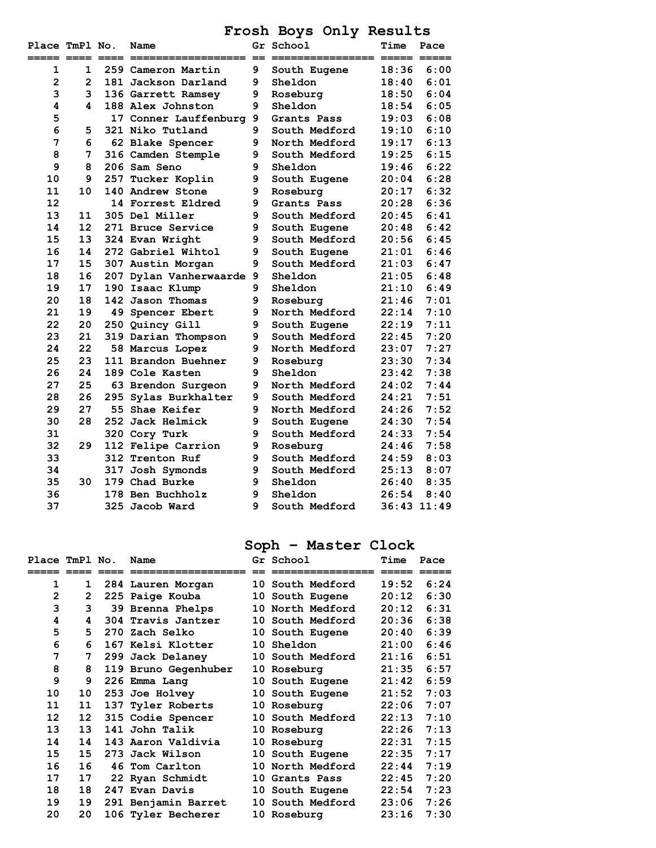**Frosh Boys Only Results** 

| Place TmPl No. |              |     | Name                     |   | Gr School     | Time            | Pace |
|----------------|--------------|-----|--------------------------|---|---------------|-----------------|------|
| ===== ====     |              |     |                          |   |               |                 | $-$  |
| 1              | $\mathbf{1}$ |     | 259 Cameron Martin       | 9 | South Eugene  | 18:36           | 6:00 |
| $\overline{2}$ | $\mathbf{2}$ |     | 181 Jackson Darland      | 9 | Sheldon       | 18:40           | 6:01 |
| 3              | 3            |     | 136 Garrett Ramsey       | 9 | Roseburg      | 18:50           | 6:04 |
| 4              | 4            |     | 188 Alex Johnston        | 9 | Sheldon       | 18:54           | 6:05 |
| 5              |              |     | 17 Conner Lauffenburg    | 9 | Grants Pass   | 19:03           | 6:08 |
| 6              | 5            |     | 321 Niko Tutland         | 9 | South Medford | 19:10           | 6:10 |
| 7              | 6            |     | 62 Blake Spencer         | 9 | North Medford | 19:17           | 6:13 |
| 8              | 7            |     | 316 Camden Stemple       | 9 | South Medford | 19:25           | 6:15 |
| 9              | 8            |     | 206 Sam Seno             | 9 | Sheldon       | 19:46           | 6:22 |
| 10             | 9            | 257 | Tucker Koplin            | 9 | South Eugene  | 20:04           | 6:28 |
| 11             | 10           |     | 140 Andrew Stone         | 9 | Roseburg      | 20:17           | 6:32 |
| 12             |              |     | 14 Forrest Eldred        | 9 | Grants Pass   | 20:28           | 6:36 |
| 13             | 11           |     | 305 Del Miller           | 9 | South Medford | 20:45           | 6:41 |
| 14             | 12           |     | 271 Bruce Service        | 9 | South Eugene  | 20:48           | 6:42 |
| 15             | 13           |     | 324 Evan Wright          | 9 | South Medford | 20:56           | 6:45 |
| 16             | 14           |     | 272 Gabriel Wihtol       | 9 | South Eugene  | 21:01           | 6:46 |
| 17             | 15           |     | 307 Austin Morgan        | 9 | South Medford | 21:03           | 6:47 |
| 18             | 16           |     | 207 Dylan Vanherwaarde 9 |   | Sheldon       | 21:05           | 6:48 |
| 19             | 17           |     | 190 Isaac Klump          | 9 | Sheldon       | 21:10           | 6:49 |
| 20             | 18           |     | 142 Jason Thomas         | 9 | Roseburg      | 21:46           | 7:01 |
| 21             | 19           |     | 49 Spencer Ebert         | 9 | North Medford | 22:14           | 7:10 |
| 22             | 20           |     | 250 Quincy Gill          | 9 | South Eugene  | 22:19           | 7:11 |
| 23             | 21           |     | 319 Darian Thompson      | 9 | South Medford | 22:45           | 7:20 |
| 24             | 22           |     | 58 Marcus Lopez          | 9 | North Medford | 23:07           | 7:27 |
| 25             | 23           |     | 111 Brandon Buehner      | 9 | Roseburg      | 23:30           | 7:34 |
| 26             | 24           |     | 189 Cole Kasten          | 9 | Sheldon       | 23:42           | 7:38 |
| 27             | 25           |     | 63 Brendon Surgeon       | 9 | North Medford | 24:02           | 7:44 |
| 28             | 26           |     | 295 Sylas Burkhalter     | 9 | South Medford | 24:21           | 7:51 |
| 29             | 27           |     | 55 Shae Keifer           | 9 | North Medford | 24:26           | 7:52 |
| 30             | 28           |     | 252 Jack Helmick         | 9 | South Eugene  | 24:30           | 7:54 |
| 31             |              |     | 320 Cory Turk            | 9 | South Medford | 24:33           | 7:54 |
| 32             | 29           |     | 112 Felipe Carrion       | 9 | Roseburg      | 24:46           | 7:58 |
| 33             |              |     | <b>312 Trenton Ruf</b>   | 9 | South Medford | 24:59           | 8:03 |
| 34             |              |     | 317 Josh Symonds         | 9 | South Medford | 25:13           | 8:07 |
| 35             | 30           |     | 179 Chad Burke           | 9 | Sheldon       | 26:40           | 8:35 |
| 36             |              |     | 178 Ben Buchholz         | 9 | Sheldon       | 26:54           | 8:40 |
| 37             |              |     | 325 Jacob Ward           | 9 | South Medford | $36:43$ $11:49$ |      |

# **Soph – Master Clock**

| Place TmPl No. | _____        | Name                 | Gr School               | Time<br>===== | Pace<br>===== |
|----------------|--------------|----------------------|-------------------------|---------------|---------------|
| 1              | 1            | 284 Lauren Morgan    | 10 South Medford        | 19:52         | 6:24          |
| $\overline{2}$ | $\mathbf{2}$ | 225 Paige Kouba      | 10 South Eugene         | 20:12         | 6:30          |
| 3              | 3            | 39 Brenna Phelps     | 10 North Medford        | 20:12         | 6:31          |
| 4              | 4            | 304 Travis Jantzer   | <b>10 South Medford</b> | 20:36         | 6:38          |
| 5              | 5.           | 270 Zach Selko       | 10 South Eugene         | 20:40         | 6:39          |
| 6              | 6            | 167 Kelsi Klotter    | 10 Sheldon              | 21:00         | 6:46          |
| 7              | 7            | 299 Jack Delaney     | <b>10 South Medford</b> | 21:16         | 6:51          |
| 8              | 8            | 119 Bruno Gegenhuber | 10 Roseburg             | 21:35         | 6:57          |
| 9              | 9            | 226 Emma Lang        | 10 South Eugene         | 21:42         | 6:59          |
| 10             | 10           | 253 Joe Holvey       | 10 South Eugene         | 21:52         | 7:03          |
| 11             | 11           | 137 Tyler Roberts    | 10 Roseburg             | 22:06         | 7:07          |
| 12             | 12           | 315 Codie Spencer    | <b>10 South Medford</b> | 22:13         | 7:10          |
| 13             | 13           | 141 John Talik       | 10 Roseburg             | 22:26         | 7:13          |
| 14             | 14           | 143 Aaron Valdivia   | 10 Roseburg             | 22:31         | 7:15          |
| 15             | 15           | 273 Jack Wilson      | 10 South Eugene         | 22:35         | 7:17          |
| 16             | 16           | 46 Tom Carlton       | <b>10 North Medford</b> | 22:44         | 7:19          |
| 17             | 17           | 22 Ryan Schmidt      | 10 Grants Pass          | 22:45         | 7:20          |
| 18             | 18           | 247 Evan Davis       | 10 South Eugene         | 22:54         | 7:23          |
| 19             | 19           | 291 Benjamin Barret  | <b>10 South Medford</b> | 23:06         | 7:26          |
| 20             | 20           | 106 Tyler Becherer   | 10 Roseburg             | 23:16         | 7:30          |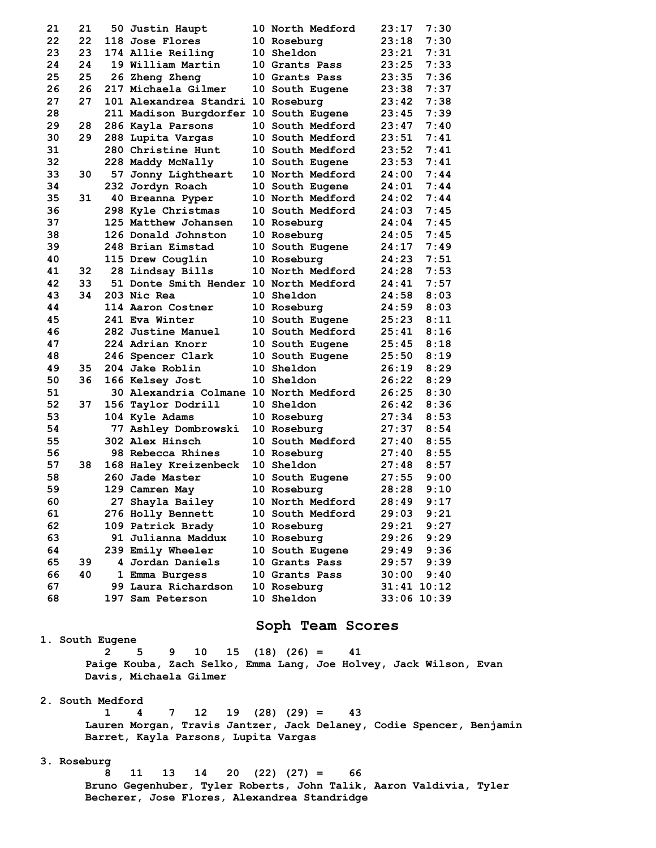| 21 | 21 | 50 Justin Haupt                        | <b>10 North Medford</b> | 23:17           | 7:30          |
|----|----|----------------------------------------|-------------------------|-----------------|---------------|
| 22 | 22 | 118 Jose Flores                        | 10 Roseburg             | 23:18           | 7:30          |
| 23 | 23 | 174 Allie Reiling                      | 10 Sheldon              | 23:21           | 7:31          |
| 24 | 24 | 19 William Martin                      | 10 Grants Pass          | 23:25           | 7:33          |
| 25 | 25 | 26 Zheng Zheng                         | 10 Grants Pass          | 23:35           | 7:36          |
| 26 | 26 | 217 Michaela Gilmer                    | 10 South Eugene         | 23:38           | 7:37          |
| 27 | 27 | 101 Alexandrea Standri 10 Roseburg     |                         | 23:42           | 7:38          |
| 28 |    | 211 Madison Burgdorfer 10 South Eugene |                         | 23:45           | 7:39          |
| 29 | 28 | 286 Kayla Parsons                      | <b>10 South Medford</b> | 23:47           | 7:40          |
| 30 | 29 | 288 Lupita Vargas                      | 10 South Medford        | 23:51           | 7:41          |
| 31 |    | <b>280 Christine Hunt</b>              | 10 South Medford        | 23:52           | 7:41          |
| 32 |    | 228 Maddy McNally                      | 10 South Eugene         | 23:53           | 7:41          |
| 33 | 30 | 57 Jonny Lightheart                    | 10 North Medford        | 24:00           | 7:44          |
| 34 |    | 232 Jordyn Roach                       | 10 South Eugene         | 24:01           | 7:44          |
| 35 | 31 | 40 Breanna Pyper                       | 10 North Medford        | 24:02           | 7:44          |
| 36 |    | 298 Kyle Christmas                     | <b>10 South Medford</b> | 24:03           | 7:45          |
| 37 |    | 125 Matthew Johansen                   | 10 Roseburg             | 24:04           | 7:45          |
| 38 |    | 126 Donald Johnston                    | 10 Roseburg             | 24:05           | 7:45          |
| 39 |    | 248 Brian Eimstad                      | 10 South Eugene         | 24:17           | 7:49          |
| 40 |    | 115 Drew Couglin                       | 10 Roseburg             | 24:23           | 7:51          |
| 41 | 32 | 28 Lindsay Bills                       | 10 North Medford        | 24:28           | 7:53          |
| 42 | 33 | 51 Donte Smith Hender 10 North Medford |                         | 24:41           | 7:57          |
| 43 | 34 | 203 Nic Rea                            | <b>10 Sheldon</b>       | 24:58           | 8:03          |
| 44 |    | 114 Aaron Costner                      | 10 Roseburg             | 24:59           | 8:03          |
| 45 |    | 241 Eva Winter                         | 10 South Eugene         | 25:23           | 8:11          |
| 46 |    | 282 Justine Manuel                     | 10 South Medford        | 25:41           | 8:16          |
| 47 |    | 224 Adrian Knorr                       | 10 South Eugene         | 25:45           | 8:18          |
| 48 |    | 246 Spencer Clark                      | 10 South Eugene         | 25:50           | 8:19          |
| 49 | 35 | 204 Jake Roblin                        | <b>10 Sheldon</b>       | 26:19           | 8:29          |
| 50 | 36 | 166 Kelsey Jost                        | <b>10 Sheldon</b>       | 26:22           | 8:29          |
| 51 |    | 30 Alexandria Colmane 10 North Medford |                         | 26:25           | 8:30          |
| 52 | 37 | 156 Taylor Dodrill                     | <b>10 Sheldon</b>       | 26:42           | 8:36          |
| 53 |    | 104 Kyle Adams                         | 10 Roseburg             | 27:34           | 8:53          |
| 54 |    | 77 Ashley Dombrowski                   | 10 Roseburg             | 27:37           | 8:54          |
| 55 |    | 302 Alex Hinsch                        | <b>10 South Medford</b> | 27:40           | 8:55          |
| 56 |    | 98 Rebecca Rhines                      | 10 Roseburg             | 27:40           | 8:55          |
| 57 | 38 | 168 Haley Kreizenbeck                  | 10 Sheldon              | 27:48           | 8:57          |
| 58 |    | 260 Jade Master                        | 10 South Eugene         | 27:55           | 9:00          |
| 59 |    | 129 Camren May                         | 10 Roseburg             | 28:28           | 9:10          |
| 60 |    | 27 Shayla Bailey                       | 10 North Medford        | 28:49           | 9:17          |
| 61 |    | 276 Holly Bennett                      | 10 South Medford        | 29:03           | 9:21          |
| 62 |    | 109 Patrick Brady                      | 10 Roseburg             | 29:21           | 9:27          |
| 63 |    | 91 Julianna Maddux                     | 10 Roseburg             | 29:26           | 9:29          |
| 64 |    | 239 Emily Wheeler                      | 10 South Eugene         | 29:49           | 9:36          |
| 65 | 39 | 4 Jordan Daniels                       | 10 Grants Pass          | 29:57           | 9:39          |
| 66 | 40 | 1 Emma Burgess                         | 10 Grants Pass          | 30:00           | 9:40          |
| 67 |    | 99 Laura Richardson                    | 10 Roseburg             | $31:41$ $10:12$ |               |
| 68 |    | 197 Sam Peterson                       | 10 Sheldon              |                 | $33:06$ 10:39 |
|    |    |                                        |                         |                 |               |

## **Soph Team Scores**

 **1. South Eugene** 

 **2 5 9 10 15 (18) (26) = 41 Paige Kouba, Zach Selko, Emma Lang, Joe Holvey, Jack Wilson, Evan Davis, Michaela Gilmer** 

 **2. South Medford** 

 **1 4 7 12 19 (28) (29) = 43 Lauren Morgan, Travis Jantzer, Jack Delaney, Codie Spencer, Benjamin Barret, Kayla Parsons, Lupita Vargas** 

## **3. Roseburg**

 **8 11 13 14 20 (22) (27) = 66 Bruno Gegenhuber, Tyler Roberts, John Talik, Aaron Valdivia, Tyler Becherer, Jose Flores, Alexandrea Standridge**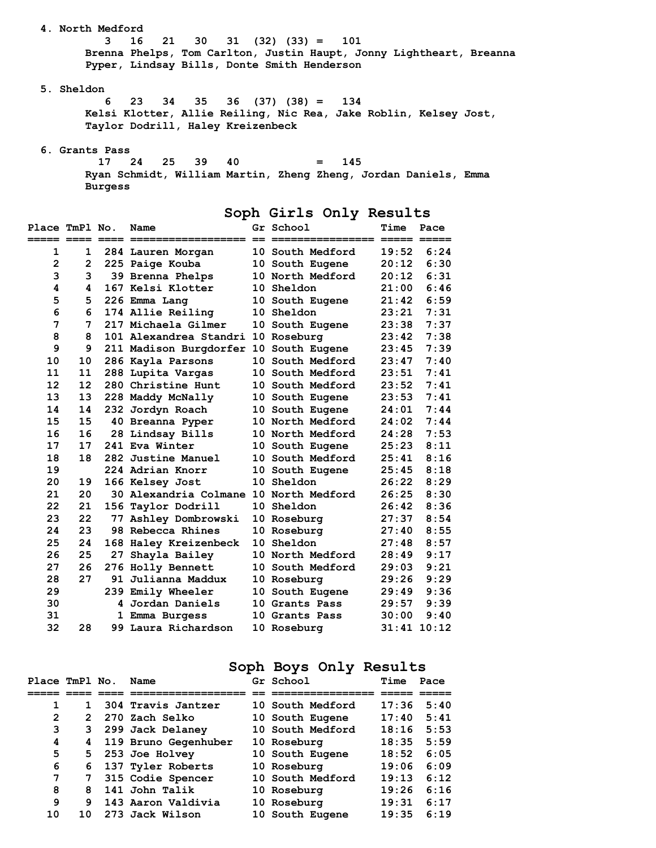**4. North Medford 3 16 21 30 31 (32) (33) = 101 Brenna Phelps, Tom Carlton, Justin Haupt, Jonny Lightheart, Breanna Pyper, Lindsay Bills, Donte Smith Henderson 5. Sheldon 6 23 34 35 36 (37) (38) = 134** 

 **Kelsi Klotter, Allie Reiling, Nic Rea, Jake Roblin, Kelsey Jost, Taylor Dodrill, Haley Kreizenbeck** 

 **6. Grants Pass** 

 **17 24 25 39 40 = 145 Ryan Schmidt, William Martin, Zheng Zheng, Jordan Daniels, Emma Burgess** 

**Soph Girls Only Results** 

| Place TmPl No.        |                   |    | Name                                   | Gr School        | Time  | Pace            |
|-----------------------|-------------------|----|----------------------------------------|------------------|-------|-----------------|
| ===== ==== ==== ====: |                   |    |                                        |                  |       |                 |
| 1                     | $\mathbf{1}$      |    | 284 Lauren Morgan                      | 10 South Medford | 19:52 | 6:24            |
| $\overline{2}$        | $\overline{2}$    |    | 225 Paige Kouba                        | 10 South Eugene  | 20:12 | 6:30            |
| 3                     | 3                 |    | 39 Brenna Phelps                       | 10 North Medford | 20:12 | 6:31            |
| 4                     | 4                 |    | 167 Kelsi Klotter                      | 10 Sheldon       | 21:00 | 6:46            |
| 5                     | 5                 |    | 226 Emma Lang                          | 10 South Eugene  | 21:42 | 6:59            |
| 6                     | 6                 |    | 174 Allie Reiling                      | 10 Sheldon       | 23:21 | 7:31            |
| 7                     | 7                 |    | 217 Michaela Gilmer                    | 10 South Eugene  | 23:38 | 7:37            |
| 8                     | 8                 |    | 101 Alexandrea Standri 10 Roseburg     |                  | 23:42 | 7:38            |
| 9                     | 9                 |    | 211 Madison Burgdorfer 10 South Eugene |                  | 23:45 | 7:39            |
| 10                    | 10                |    | 286 Kayla Parsons                      | 10 South Medford | 23:47 | 7:40            |
| 11                    | 11                |    | 288 Lupita Vargas                      | 10 South Medford | 23:51 | 7:41            |
| 12                    | $12 \overline{ }$ |    | 280 Christine Hunt                     | 10 South Medford | 23:52 | 7:41            |
| 13                    | 13                |    | 228 Maddy McNally                      | 10 South Eugene  | 23:53 | 7:41            |
| 14                    | 14                |    | 232 Jordyn Roach                       | 10 South Eugene  | 24:01 | 7:44            |
| 15                    | 15                |    | 40 Breanna Pyper                       | 10 North Medford | 24:02 | 7:44            |
| 16                    | 16                |    | 28 Lindsay Bills                       | 10 North Medford | 24:28 | 7:53            |
| 17                    | 17                |    | 241 Eva Winter                         | 10 South Eugene  | 25:23 | 8:11            |
| 18                    | 18                |    | 282 Justine Manuel                     | 10 South Medford | 25:41 | 8:16            |
| 19                    |                   |    | 224 Adrian Knorr                       | 10 South Eugene  | 25:45 | 8:18            |
| 20                    | 19                |    | 166 Kelsey Jost                        | 10 Sheldon       | 26:22 | 8:29            |
| 21                    | 20                |    | 30 Alexandria Colmane 10 North Medford |                  | 26:25 | 8:30            |
| 22                    | 21                |    | 156 Taylor Dodrill                     | 10 Sheldon       | 26:42 | 8:36            |
| 23                    | 22                |    | 77 Ashley Dombrowski                   | 10 Roseburg      | 27:37 | 8:54            |
| 24                    | 23                |    | 98 Rebecca Rhines                      | 10 Roseburg      | 27:40 | 8:55            |
| 25                    | 24                |    | 168 Haley Kreizenbeck                  | 10 Sheldon       | 27:48 | 8:57            |
| 26                    | 25                | 27 | Shayla Bailey                          | 10 North Medford | 28:49 | 9:17            |
| 27                    | 26                |    | 276 Holly Bennett                      | 10 South Medford | 29:03 | 9:21            |
| 28                    | 27                |    | 91 Julianna Maddux                     | 10 Roseburg      | 29:26 | 9:29            |
| 29                    |                   |    | 239 Emily Wheeler                      | 10 South Eugene  | 29:49 | 9:36            |
| 30                    |                   |    | 4 Jordan Daniels                       | 10 Grants Pass   | 29:57 | 9:39            |
| 31                    |                   |    | 1 Emma Burgess                         | 10 Grants Pass   | 30:00 | 9:40            |
| 32                    | 28                |    | 99 Laura Richardson                    | 10 Roseburg      |       | $31:41$ $10:12$ |

# **Soph Boys Only Results**

| Place TmPl No. |               | Name                 | Gr School               | Time  | Pace |
|----------------|---------------|----------------------|-------------------------|-------|------|
|                |               |                      |                         |       |      |
| 1              | 1.            | 304 Travis Jantzer   | <b>10 South Medford</b> | 17:36 | 5:40 |
| $\overline{2}$ | $\mathcal{P}$ | 270 Zach Selko       | 10 South Eugene         | 17:40 | 5:41 |
| 3              | 3             | 299 Jack Delaney     | 10 South Medford        | 18:16 | 5:53 |
| 4              | 4             | 119 Bruno Gegenhuber | 10 Roseburg             | 18:35 | 5:59 |
| 5              | 5             | 253 Joe Holvey       | 10 South Eugene         | 18:52 | 6:05 |
| 6              | 6             | 137 Tyler Roberts    | 10 Roseburg             | 19:06 | 6:09 |
| 7              | 7             | 315 Codie Spencer    | 10 South Medford        | 19:13 | 6:12 |
| 8              | 8             | 141 John Talik       | 10 Roseburg             | 19:26 | 6:16 |
| 9              | g             | 143 Aaron Valdivia   | 10 Roseburg             | 19:31 | 6:17 |
| 10             | 1 ດ           | 273 Jack Wilson      | 10 South Eugene         | 19:35 | 6:19 |
|                |               |                      |                         |       |      |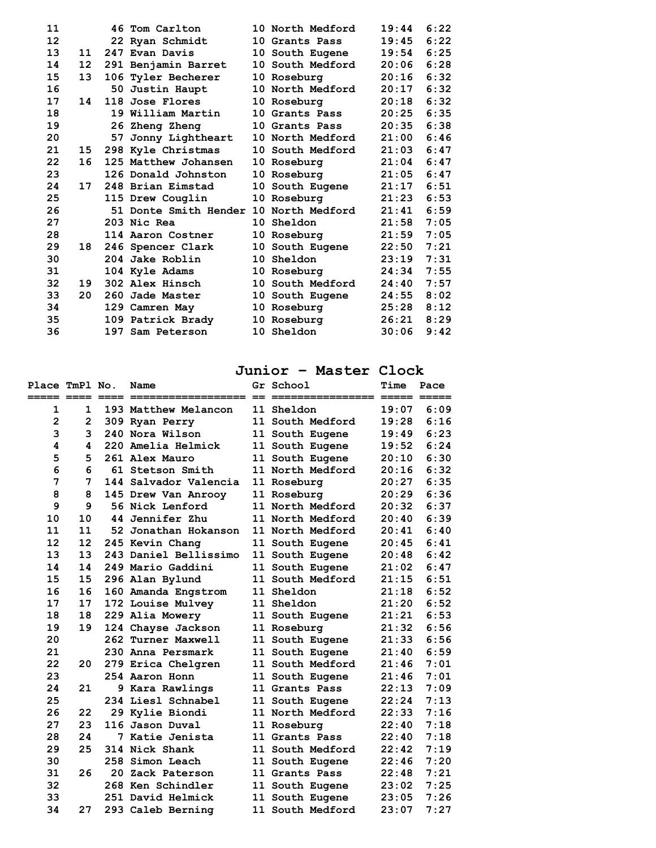| 11 |    | 46 Tom Carlton                         | 10 North Medford        | 19:44 | 6:22 |
|----|----|----------------------------------------|-------------------------|-------|------|
| 12 |    | 22 Ryan Schmidt                        | 10 Grants Pass          | 19:45 | 6:22 |
| 13 | 11 | 247 Evan Davis                         | <b>10 South Eugene</b>  | 19:54 | 6:25 |
| 14 | 12 | 291 Benjamin Barret                    | <b>10 South Medford</b> | 20:06 | 6:28 |
| 15 | 13 | 106 Tyler Becherer                     | <b>10 Roseburg</b>      | 20:16 | 6:32 |
| 16 |    | 50 Justin Haupt                        | 10 North Medford        | 20:17 | 6:32 |
| 17 | 14 | 118 Jose Flores                        | 10 Roseburg             | 20:18 | 6:32 |
| 18 |    | 19 William Martin                      | 10 Grants Pass          | 20:25 | 6:35 |
| 19 |    | 26 Zheng Zheng                         | 10 Grants Pass          | 20:35 | 6:38 |
| 20 |    | 57 Jonny Lightheart                    | 10 North Medford        | 21:00 | 6:46 |
| 21 | 15 | 298 Kyle Christmas                     | <b>10 South Medford</b> | 21:03 | 6:47 |
| 22 | 16 | 125 Matthew Johansen                   | 10 Roseburg             | 21:04 | 6:47 |
| 23 |    | 126 Donald Johnston                    | <b>10 Roseburg</b>      | 21:05 | 6:47 |
| 24 | 17 | 248 Brian Eimstad                      | <b>10 South Eugene</b>  | 21:17 | 6:51 |
| 25 |    | 115 Drew Couglin                       | 10 Roseburg             | 21:23 | 6:53 |
| 26 |    | 51 Donte Smith Hender 10 North Medford |                         | 21:41 | 6:59 |
| 27 |    | 203 Nic Rea                            | <b>10 Sheldon</b>       | 21:58 | 7:05 |
| 28 |    | 114 Aaron Costner                      | 10 Roseburg             | 21:59 | 7:05 |
| 29 | 18 | 246 Spencer Clark                      | 10 South Eugene         | 22:50 | 7:21 |
| 30 |    | 204 Jake Roblin                        | <b>10 Sheldon</b>       | 23:19 | 7:31 |
| 31 |    | 104 Kyle Adams                         | <b>10 Roseburg</b>      | 24:34 | 7:55 |
| 32 | 19 | 302 Alex Hinsch                        | <b>10 South Medford</b> | 24:40 | 7:57 |
| 33 | 20 | 260 Jade Master                        | 10 South Eugene         | 24:55 | 8:02 |
| 34 |    | 129 Camren May                         | 10 Roseburg             | 25:28 | 8:12 |
| 35 |    | 109 Patrick Brady                      | 10 Roseburg             | 26:21 | 8:29 |
| 36 |    | 197 Sam Peterson                       | 10 Sheldon              | 30:06 | 9:42 |

# **Junior – Master Clock**

| Place TmPl No.<br>===== ==== |              | Name                   | Gr School               | Time<br>===== ===== | Pace |
|------------------------------|--------------|------------------------|-------------------------|---------------------|------|
| 1                            | $\mathbf{1}$ | 193 Matthew Melancon   | 11 Sheldon              | 19:07               | 6:09 |
| $\overline{\mathbf{c}}$      | $\mathbf{2}$ | 309 Ryan Perry         | 11 South Medford        | 19:28               | 6:16 |
| 3                            | 3            | 240 Nora Wilson        | 11 South Eugene         | 19:49               | 6:23 |
| 4                            | 4            | 220 Amelia Helmick     | 11 South Eugene         | 19:52               | 6:24 |
| 5                            | 5            | 261 Alex Mauro         | 11 South Eugene         | 20:10               | 6:30 |
| 6                            | 6            | 61 Stetson Smith       | 11 North Medford        | 20:16               | 6:32 |
| 7                            | 7            | 144 Salvador Valencia  | 11 Roseburg             | 20:27               | 6:35 |
| 8                            | 8            | 145 Drew Van Anrooy    | 11 Roseburg             | 20:29               | 6:36 |
| 9                            | 9            | <b>56 Nick Lenford</b> | 11 North Medford        | 20:32               | 6:37 |
| 10                           | 10           | 44 Jennifer Zhu        | 11 North Medford        | 20:40               | 6:39 |
| 11                           | 11           | 52 Jonathan Hokanson   | 11 North Medford        | 20:41               | 6:40 |
| 12                           | 12           | 245 Kevin Chang        | 11 South Eugene         | 20:45               | 6:41 |
| 13                           | 13           | 243 Daniel Bellissimo  | 11 South Eugene         | 20:48               | 6:42 |
| 14                           | 14           | 249 Mario Gaddini      | 11 South Eugene         | 21:02               | 6:47 |
| 15                           | 15           | 296 Alan Bylund        | 11 South Medford        | 21:15               | 6:51 |
| 16                           | 16           | 160 Amanda Engstrom    | 11 Sheldon              | 21:18               | 6:52 |
| 17                           | 17           | 172 Louise Mulvey      | 11 Sheldon              | 21:20               | 6:52 |
| 18                           | 18           | 229 Alia Mowery        | 11 South Eugene         | 21:21               | 6:53 |
| 19                           | 19           | 124 Chayse Jackson     | 11 Roseburg             | 21:32               | 6:56 |
| 20                           |              | 262 Turner Maxwell     | 11 South Eugene         | 21:33               | 6:56 |
| 21                           |              | 230 Anna Persmark      | 11 South Eugene         | 21:40               | 6:59 |
| 22                           | 20           | 279 Erica Chelgren     | 11 South Medford        | 21:46               | 7:01 |
| 23                           |              | 254 Aaron Honn         | 11 South Eugene         | 21:46               | 7:01 |
| 24                           | 21           | 9 Kara Rawlings        | 11 Grants Pass          | 22:13               | 7:09 |
| 25                           |              | 234 Liesl Schnabel     | 11 South Eugene         | 22:24               | 7:13 |
| 26                           | 22           | 29 Kylie Biondi        | 11 North Medford        | 22:33               | 7:16 |
| 27                           | 23           | 116 Jason Duval        | 11 Roseburg             | 22:40               | 7:18 |
| 28                           | 24           | 7 Katie Jenista        | 11 Grants Pass          | 22:40               | 7:18 |
| 29                           | 25           | 314 Nick Shank         | <b>11 South Medford</b> | 22:42               | 7:19 |
| 30                           |              | 258 Simon Leach        | 11 South Eugene         | 22:46               | 7:20 |
| 31                           | 26           | 20 Zack Paterson       | 11 Grants Pass          | 22:48               | 7:21 |
| 32                           |              | 268 Ken Schindler      | 11 South Eugene         | 23:02               | 7:25 |
| 33                           |              | 251 David Helmick      | 11 South Eugene         | 23:05               | 7:26 |
| 34                           | 27           | 293 Caleb Berning      | 11 South Medford        | 23:07               | 7:27 |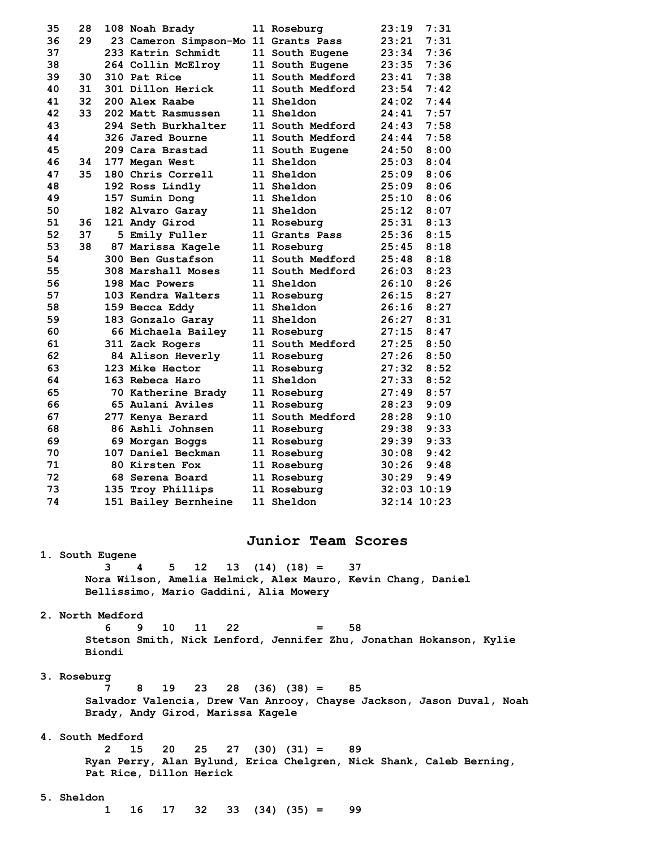| 35 | 28 | 108 Noah Brady                       | 11 Roseburg             | 23:19 | 7:31            |
|----|----|--------------------------------------|-------------------------|-------|-----------------|
| 36 | 29 | 23 Cameron Simpson-Mo 11 Grants Pass |                         | 23:21 | 7:31            |
| 37 |    | 233 Katrin Schmidt                   | 11 South Eugene         | 23:34 | 7:36            |
| 38 |    | 264 Collin McElroy                   | 11 South Eugene         | 23:35 | 7:36            |
| 39 | 30 | 310 Pat Rice                         | <b>11 South Medford</b> | 23:41 | 7:38            |
| 40 | 31 | 301 Dillon Herick                    | 11 South Medford        | 23:54 | 7:42            |
| 41 | 32 | 200 Alex Raabe                       | 11 Sheldon              | 24:02 | 7:44            |
| 42 | 33 | 202 Matt Rasmussen                   | <b>11 Sheldon</b>       | 24:41 | 7:57            |
| 43 |    | 294 Seth Burkhalter                  | 11 South Medford        | 24:43 | 7:58            |
| 44 |    | 326 Jared Bourne                     | <b>11 South Medford</b> | 24:44 | 7:58            |
| 45 |    | 209 Cara Brastad                     | 11 South Eugene         | 24:50 | 8:00            |
| 46 | 34 | 177 Megan West                       | <b>11 Sheldon</b>       | 25:03 | 8:04            |
| 47 | 35 | 180 Chris Correll                    | 11 Sheldon              | 25:09 | 8:06            |
| 48 |    | 192 Ross Lindly                      | <b>11 Sheldon</b>       | 25:09 | 8:06            |
| 49 |    | 157 Sumin Dong                       | 11 Sheldon              | 25:10 | 8:06            |
| 50 |    | 182 Alvaro Garay                     | 11 Sheldon              | 25:12 | 8:07            |
| 51 | 36 | 121 Andy Girod                       | 11 Roseburg             | 25:31 | 8:13            |
| 52 | 37 | 5 Emily Fuller                       | 11 Grants Pass          | 25:36 | 8:15            |
| 53 | 38 | 87 Marissa Kagele                    | 11 Roseburg             | 25:45 | 8:18            |
| 54 |    | 300 Ben Gustafson                    | 11 South Medford        | 25:48 | 8:18            |
| 55 |    | 308 Marshall Moses                   | 11 South Medford        | 26:03 | 8:23            |
| 56 |    | 198 Mac Powers                       | 11 Sheldon              | 26:10 | 8:26            |
| 57 |    | 103 Kendra Walters                   | 11 Roseburg             | 26:15 | 8:27            |
| 58 |    | 159 Becca Eddy                       | <b>11 Sheldon</b>       | 26:16 | 8:27            |
| 59 |    | 183 Gonzalo Garay                    | 11 Sheldon              | 26:27 | 8:31            |
| 60 |    | 66 Michaela Bailey                   | 11 Roseburg             | 27:15 | 8:47            |
| 61 |    | 311 Zack Rogers                      | 11 South Medford        | 27:25 | 8:50            |
| 62 |    | 84 Alison Heverly                    | 11 Roseburg             | 27:26 | 8:50            |
| 63 |    | 123 Mike Hector                      | 11 Roseburg             | 27:32 | 8:52            |
| 64 |    | 163 Rebeca Haro                      | 11 Sheldon              | 27:33 | 8:52            |
| 65 |    | 70 Katherine Brady                   | 11 Roseburg             | 27:49 | 8:57            |
| 66 |    | 65 Aulani Aviles                     | 11 Roseburg             | 28:23 | 9:09            |
| 67 |    | 277 Kenya Berard                     | <b>11 South Medford</b> | 28:28 | 9:10            |
| 68 |    | 86 Ashli Johnsen                     | 11 Roseburg             | 29:38 | 9:33            |
| 69 |    | 69 Morgan Boggs                      | 11 Roseburg             | 29:39 | 9:33            |
| 70 |    | 107 Daniel Beckman                   | 11 Roseburg             | 30:08 | 9:42            |
| 71 |    | 80 Kirsten Fox                       | 11 Roseburg             | 30:26 | 9:48            |
| 72 |    | 68 Serena Board                      | 11 Roseburg             | 30:29 | 9:49            |
| 73 |    | 135 Troy Phillips                    | 11 Roseburg             |       | $32:03$ $10:19$ |
| 74 |    | 151 Bailey Bernheine                 | 11 Sheldon              |       | $32:14$ $10:23$ |

## **Junior Team Scores**

 **1. South Eugene 3 4 5 12 13 (14) (18) = 37 Nora Wilson, Amelia Helmick, Alex Mauro, Kevin Chang, Daniel Bellissimo, Mario Gaddini, Alia Mowery** 

## **2. North Medford**

 **6 9 10 11 22 = 58 Stetson Smith, Nick Lenford, Jennifer Zhu, Jonathan Hokanson, Kylie Biondi** 

## **3. Roseburg**

 **7 8 19 23 28 (36) (38) = 85 Salvador Valencia, Drew Van Anrooy, Chayse Jackson, Jason Duval, Noah Brady, Andy Girod, Marissa Kagele** 

 **4. South Medford** 

 **2 15 20 25 27 (30) (31) = 89 Ryan Perry, Alan Bylund, Erica Chelgren, Nick Shank, Caleb Berning, Pat Rice, Dillon Herick** 

### **5. Sheldon**

 **1 16 17 32 33 (34) (35) = 99**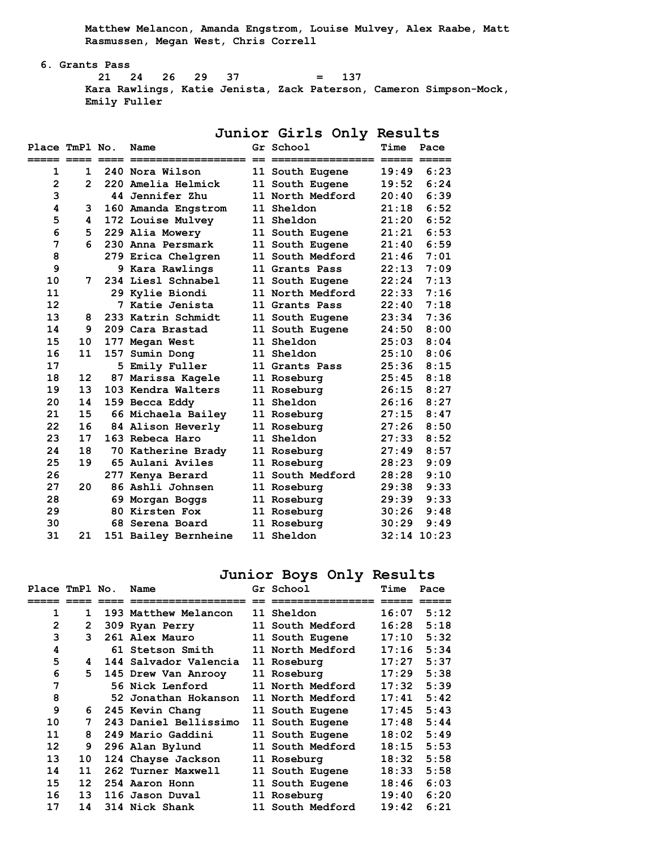**Matthew Melancon, Amanda Engstrom, Louise Mulvey, Alex Raabe, Matt Rasmussen, Megan West, Chris Correll** 

 **6. Grants Pass** 

 **21 24 26 29 37 = 137 Kara Rawlings, Katie Jenista, Zack Paterson, Cameron Simpson-Mock, Emily Fuller** 

Place TmPl No. Name **Gr** School **Time Pace ===== ==== ==== ================== == ================ ===== ===== 1 1 240 Nora Wilson 11 South Eugene 19:49 6:23 2 2 220 Amelia Helmick 11 South Eugene 19:52 6:24 3 44 Jennifer Zhu 11 North Medford 20:40 6:39 4 3 160 Amanda Engstrom 11 Sheldon 21:18 6:52 5 4 172 Louise Mulvey 11 Sheldon 21:20 6:52 6 5 229 Alia Mowery 11 South Eugene 21:21 6:53 7 6 230 Anna Persmark 11 South Eugene 21:40 6:59 8 279 Erica Chelgren 11 South Medford 21:46 7:01 9 9 Kara Rawlings 11 Grants Pass 22:13 7:09 10 7 234 Liesl Schnabel 11 South Eugene 22:24 7:13 11 29 Kylie Biondi 11 North Medford 22:33 7:16 12 7 Katie Jenista 11 Grants Pass 22:40 7:18 13 8 233 Katrin Schmidt 11 South Eugene 23:34 7:36 14 9 209 Cara Brastad 11 South Eugene 24:50 8:00 15 10 177 Megan West 11 Sheldon 25:03 8:04 16 11 157 Sumin Dong 11 Sheldon 25:10 8:06 17 5 Emily Fuller 11 Grants Pass 25:36 8:15 18 12 87 Marissa Kagele 11 Roseburg 25:45 8:18 19 13 103 Kendra Walters 11 Roseburg 26:15 8:27 20 14 159 Becca Eddy 11 Sheldon 26:16 8:27 21 15 66 Michaela Bailey 11 Roseburg 27:15 8:47 22 16 84 Alison Heverly 11 Roseburg 27:26 8:50 23 17 163 Rebeca Haro 11 Sheldon 27:33 8:52 24 18 70 Katherine Brady 11 Roseburg 27:49 8:57 25 19 65 Aulani Aviles 11 Roseburg 28:23 9:09 26 277 Kenya Berard 11 South Medford 28:28 9:10 27 20 86 Ashli Johnsen 11 Roseburg 29:38 9:33 28 69 Morgan Boggs 11 Roseburg 29:39 9:33 29 80 Kirsten Fox 11 Roseburg 30:26 9:48 30 68 Serena Board 11 Roseburg 30:29 9:49 31 21 151 Bailey Bernheine 11 Sheldon 32:14 10:23** 

#### **Junior Girls Only Results**

## **Junior Boys Only Results**

| Place TmPl No. |                 | Name                  | Gr School               | Time  | Pace |
|----------------|-----------------|-----------------------|-------------------------|-------|------|
|                |                 |                       |                         |       |      |
| 1              | 1.              | 193 Matthew Melancon  | 11 Sheldon              | 16:07 | 5:12 |
| $\overline{2}$ | 2               | 309 Ryan Perry        | <b>11 South Medford</b> | 16:28 | 5:18 |
| 3              | 3               | 261 Alex Mauro        | 11 South Eugene         | 17:10 | 5:32 |
| 4              |                 | 61 Stetson Smith      | 11 North Medford        | 17:16 | 5:34 |
| 5              | 4               | 144 Salvador Valencia | 11 Roseburg             | 17:27 | 5:37 |
| 6              | 5.              | 145 Drew Van Anrooy   | 11 Roseburg             | 17:29 | 5:38 |
| 7              |                 | 56 Nick Lenford       | 11 North Medford        | 17:32 | 5:39 |
| 8              |                 | 52 Jonathan Hokanson  | 11 North Medford        | 17:41 | 5:42 |
| 9              | 6               | 245 Kevin Chang       | 11 South Eugene         | 17:45 | 5:43 |
| 10             | 7               | 243 Daniel Bellissimo | 11 South Eugene         | 17:48 | 5:44 |
| 11             | 8               | 249 Mario Gaddini     | 11 South Eugene         | 18:02 | 5:49 |
| 12             | 9               | 296 Alan Bylund       | <b>11 South Medford</b> | 18:15 | 5:53 |
| 13             | 10              | 124 Chayse Jackson    | 11 Roseburg             | 18:32 | 5:58 |
| 14             | 11              | 262 Turner Maxwell    | 11 South Eugene         | 18:33 | 5:58 |
| 15             | 12 <sup>2</sup> | 254 Aaron Honn        | 11 South Eugene         | 18:46 | 6:03 |
| 16             | 13              | 116 Jason Duval       | 11 Roseburg             | 19:40 | 6:20 |
| 17             | 14              | 314 Nick Shank        | 11 South Medford        | 19:42 | 6:21 |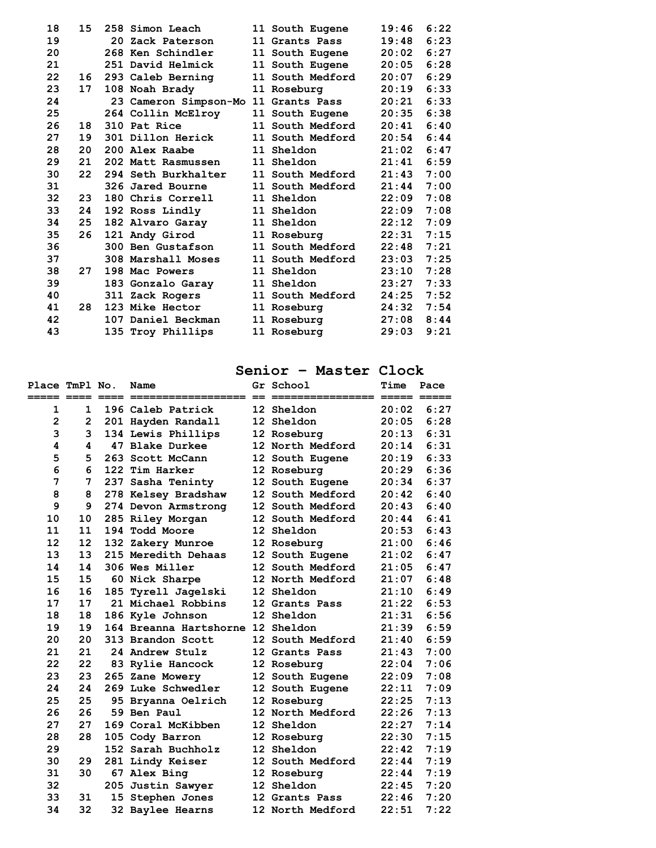| 18 | 15 | 258 Simon Leach                      | 11 South Eugene         | 19:46 | 6:22 |
|----|----|--------------------------------------|-------------------------|-------|------|
| 19 |    | 20 Zack Paterson                     | 11 Grants Pass          | 19:48 | 6:23 |
| 20 |    | 268 Ken Schindler                    | 11 South Eugene         | 20:02 | 6:27 |
| 21 |    | 251 David Helmick                    | 11 South Eugene         | 20:05 | 6:28 |
| 22 | 16 | 293 Caleb Berning                    | <b>11 South Medford</b> | 20:07 | 6:29 |
| 23 | 17 | 108 Noah Brady                       | 11 Roseburg             | 20:19 | 6:33 |
| 24 |    | 23 Cameron Simpson-Mo 11 Grants Pass |                         | 20:21 | 6:33 |
| 25 |    | 264 Collin McElroy                   | 11 South Eugene         | 20:35 | 6:38 |
| 26 | 18 | 310 Pat Rice                         | 11 South Medford        | 20:41 | 6:40 |
| 27 | 19 | 301 Dillon Herick                    | <b>11 South Medford</b> | 20:54 | 6:44 |
| 28 | 20 | 200 Alex Raabe                       | 11 Sheldon              | 21:02 | 6:47 |
| 29 | 21 | 202 Matt Rasmussen                   | <b>11 Sheldon</b>       | 21:41 | 6:59 |
| 30 | 22 | 294 Seth Burkhalter                  | 11 South Medford        | 21:43 | 7:00 |
| 31 |    | 326 Jared Bourne                     | <b>11 South Medford</b> | 21:44 | 7:00 |
| 32 | 23 | 180 Chris Correll                    | 11 Sheldon              | 22:09 | 7:08 |
| 33 | 24 | 192 Ross Lindly                      | 11 Sheldon              | 22:09 | 7:08 |
| 34 | 25 | 182 Alvaro Garay                     | <b>11 Sheldon</b>       | 22:12 | 7:09 |
| 35 | 26 | 121 Andy Girod                       | 11 Roseburg             | 22:31 | 7:15 |
| 36 |    | 300 Ben Gustafson                    | 11 South Medford        | 22:48 | 7:21 |
| 37 |    | 308 Marshall Moses                   | <b>11 South Medford</b> | 23:03 | 7:25 |
| 38 | 27 | 198 Mac Powers                       | 11 Sheldon              | 23:10 | 7:28 |
| 39 |    | 183 Gonzalo Garay                    | <b>11 Sheldon</b>       | 23:27 | 7:33 |
| 40 |    | 311 Zack Rogers                      | 11 South Medford        | 24:25 | 7:52 |
| 41 | 28 | 123 Mike Hector                      | 11 Roseburg             | 24:32 | 7:54 |
| 42 |    | 107 Daniel Beckman                   | 11 Roseburg             | 27:08 | 8:44 |
| 43 |    | 135 Troy Phillips                    | 11 Roseburg             | 29:03 | 9:21 |
|    |    |                                      |                         |       |      |

# **Senior – Master Clock**

| Place TmPl No. |              | Name                              | Gr School        | Time  | Pace |
|----------------|--------------|-----------------------------------|------------------|-------|------|
| 1              | $\mathbf{1}$ | 196 Caleb Patrick                 | 12 Sheldon       | 20:02 | 6:27 |
| $\mathbf{2}$   | $\mathbf{2}$ | 201 Hayden Randall                | 12 Sheldon       | 20:05 | 6:28 |
| 3              | 3            | 134 Lewis Phillips                | 12 Roseburg      | 20:13 | 6:31 |
| 4              | 4            | 47 Blake Durkee                   | 12 North Medford | 20:14 | 6:31 |
| 5              | 5            | 263 Scott McCann                  | 12 South Eugene  | 20:19 | 6:33 |
| 6              | 6            | 122 Tim Harker                    | 12 Roseburg      | 20:29 | 6:36 |
| 7              | 7            | 237 Sasha Teninty                 | 12 South Eugene  | 20:34 | 6:37 |
| 8              | 8            | 278 Kelsey Bradshaw               | 12 South Medford | 20:42 | 6:40 |
| 9              | 9            | 274 Devon Armstrong               | 12 South Medford | 20:43 | 6:40 |
| 10             | 10           | 285 Riley Morgan                  | 12 South Medford | 20:44 | 6:41 |
| 11             | 11           | 194 Todd Moore                    | 12 Sheldon       | 20:53 | 6:43 |
| 12             | 12           | 132 Zakery Munroe                 | 12 Roseburg      | 21:00 | 6:46 |
| 13             | 13           | 215 Meredith Dehaas               | 12 South Eugene  | 21:02 | 6:47 |
| 14             | 14           | 306 Wes Miller                    | 12 South Medford | 21:05 | 6:47 |
| 15             | 15           | 60 Nick Sharpe                    | 12 North Medford | 21:07 | 6:48 |
| 16             | 16           | 185 Tyrell Jagelski               | 12 Sheldon       | 21:10 | 6:49 |
| 17             | 17           | 21 Michael Robbins                | 12 Grants Pass   | 21:22 | 6:53 |
| 18             | 18           | 186 Kyle Johnson                  | 12 Sheldon       | 21:31 | 6:56 |
| 19             | 19           | 164 Breanna Hartshorne 12 Sheldon |                  | 21:39 | 6:59 |
| 20             | 20           | 313 Brandon Scott                 | 12 South Medford | 21:40 | 6:59 |
| 21             | 21           | 24 Andrew Stulz                   | 12 Grants Pass   | 21:43 | 7:00 |
| 22             | 22           | 83 Rylie Hancock                  | 12 Roseburg      | 22:04 | 7:06 |
| 23             | 23           | 265 Zane Mowery                   | 12 South Eugene  | 22:09 | 7:08 |
| 24             | 24           | 269 Luke Schwedler                | 12 South Eugene  | 22:11 | 7:09 |
| 25             | 25           | 95 Bryanna Oelrich                | 12 Roseburg      | 22:25 | 7:13 |
| 26             | 26           | 59 Ben Paul                       | 12 North Medford | 22:26 | 7:13 |
| 27             | 27           | 169 Coral McKibben                | 12 Sheldon       | 22:27 | 7:14 |
| 28             | 28           | 105 Cody Barron                   | 12 Roseburg      | 22:30 | 7:15 |
| 29             |              | 152 Sarah Buchholz                | 12 Sheldon       | 22:42 | 7:19 |
| 30             | 29           | 281 Lindy Keiser                  | 12 South Medford | 22:44 | 7:19 |
| 31             | 30           | 67 Alex Bing                      | 12 Roseburg      | 22:44 | 7:19 |
| 32             |              | 205 Justin Sawyer                 | 12 Sheldon       | 22:45 | 7:20 |
| 33             | 31           | 15 Stephen Jones                  | 12 Grants Pass   | 22:46 | 7:20 |
| 34             | 32           | 32 Baylee Hearns                  | 12 North Medford | 22:51 | 7:22 |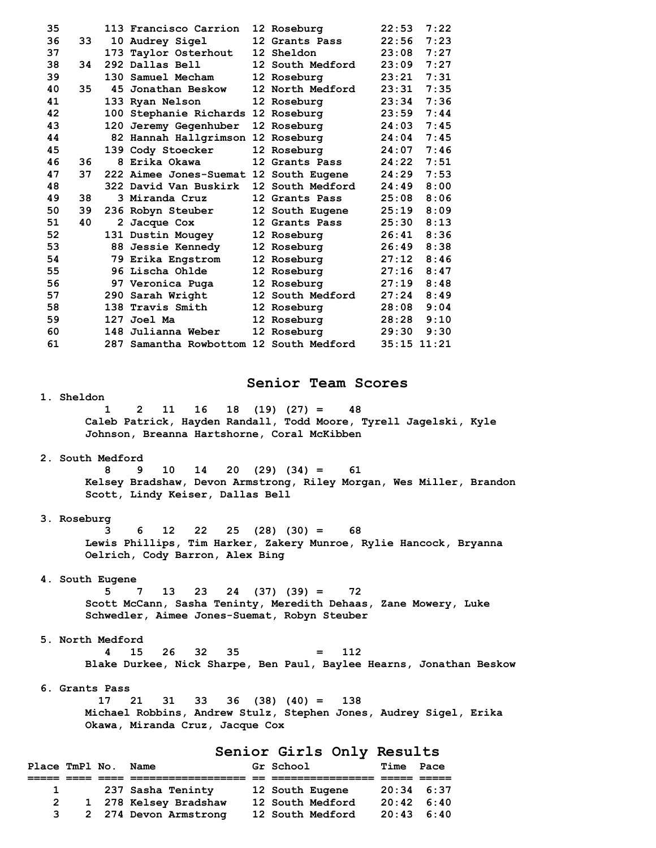| 35 |    | 113 Francisco Carrion                   | 12 Roseburg             | 22:53       | 7:22 |
|----|----|-----------------------------------------|-------------------------|-------------|------|
| 36 | 33 | 10 Audrey Sigel                         | 12 Grants Pass          | 22:56       | 7:23 |
| 37 |    | 173 Taylor Osterhout                    | 12 Sheldon              | 23:08       | 7:27 |
| 38 | 34 | 292 Dallas Bell                         | 12 South Medford        | 23:09       | 7:27 |
| 39 |    | 130 Samuel Mecham                       | 12 Roseburg             | 23:21       | 7:31 |
| 40 | 35 | 45 Jonathan Beskow                      | 12 North Medford        | 23:31       | 7:35 |
| 41 |    | 133 Ryan Nelson                         | 12 Roseburg             | 23:34       | 7:36 |
| 42 |    | 100 Stephanie Richards 12 Roseburg      |                         | 23:59       | 7:44 |
| 43 |    | 120 Jeremy Gegenhuber                   | 12 Roseburg             | 24:03       | 7:45 |
| 44 |    | 82 Hannah Hallgrimson 12 Roseburg       |                         | 24:04       | 7:45 |
| 45 |    | 139 Cody Stoecker                       | 12 Roseburg             | 24:07       | 7:46 |
| 46 | 36 | 8 Erika Okawa                           | 12 Grants Pass          | 24:22       | 7:51 |
| 47 | 37 | 222 Aimee Jones-Suemat 12 South Eugene  |                         | 24:29       | 7:53 |
| 48 |    | 322 David Van Buskirk                   | 12 South Medford        | 24:49       | 8:00 |
| 49 | 38 | 3 Miranda Cruz                          | 12 Grants Pass          | 25:08       | 8:06 |
| 50 | 39 | 236 Robyn Steuber                       | 12 South Eugene         | 25:19       | 8:09 |
| 51 | 40 | 2 Jacque Cox                            | 12 Grants Pass          | 25:30       | 8:13 |
| 52 |    | 131 Dustin Mougey                       | 12 Roseburg             | 26:41       | 8:36 |
| 53 |    | <b>88 Jessie Kennedy</b>                | 12 Roseburg             | 26:49       | 8:38 |
| 54 |    | 79 Erika Engstrom                       | 12 Roseburg             | 27:12       | 8:46 |
| 55 |    | 96 Lischa Ohlde                         | 12 Roseburg             | 27:16       | 8:47 |
| 56 |    | 97 Veronica Puga                        | 12 Roseburg             | 27:19       | 8:48 |
| 57 |    | 290 Sarah Wright                        | <b>12 South Medford</b> | 27:24       | 8:49 |
| 58 |    | 138 Travis Smith                        | 12 Roseburg             | 28:08       | 9:04 |
| 59 |    | 127 Joel Ma                             | 12 Roseburg             | 28:28       | 9:10 |
| 60 |    | 148 Julianna Weber                      | 12 Roseburg             | 29:30       | 9:30 |
| 61 |    | 287 Samantha Rowbottom 12 South Medford |                         | 35:15 11:21 |      |

## **Senior Team Scores**

 **1. Sheldon** 

 **1 2 11 16 18 (19) (27) = 48 Caleb Patrick, Hayden Randall, Todd Moore, Tyrell Jagelski, Kyle Johnson, Breanna Hartshorne, Coral McKibben** 

# **2. South Medford**

 **8 9 10 14 20 (29) (34) = 61 Kelsey Bradshaw, Devon Armstrong, Riley Morgan, Wes Miller, Brandon Scott, Lindy Keiser, Dallas Bell** 

### **3. Roseburg**

 **3 6 12 22 25 (28) (30) = 68 Lewis Phillips, Tim Harker, Zakery Munroe, Rylie Hancock, Bryanna Oelrich, Cody Barron, Alex Bing** 

#### **4. South Eugene**

 **5 7 13 23 24 (37) (39) = 72 Scott McCann, Sasha Teninty, Meredith Dehaas, Zane Mowery, Luke Schwedler, Aimee Jones-Suemat, Robyn Steuber** 

## **5. North Medford**

 **4 15 26 32 35 = 112 Blake Durkee, Nick Sharpe, Ben Paul, Baylee Hearns, Jonathan Beskow** 

#### **6. Grants Pass**

 **17 21 31 33 36 (38) (40) = 138 Michael Robbins, Andrew Stulz, Stephen Jones, Audrey Sigel, Erika Okawa, Miranda Cruz, Jacque Cox** 

## **Senior Girls Only Results**

| Place TmPl No. |              | Name                  | Gr School        | Time               | Pace |
|----------------|--------------|-----------------------|------------------|--------------------|------|
|                |              |                       |                  |                    |      |
|                | $\mathbf{1}$ | 237 Sasha Teninty     | 12 South Eugene  | $20:34$ 6:37       |      |
| 2              |              | 1 278 Kelsey Bradshaw | 12 South Medford | $20:42 \quad 6:40$ |      |
| 3              |              | 2 274 Devon Armstrong | 12 South Medford | $20:43 \quad 6:40$ |      |